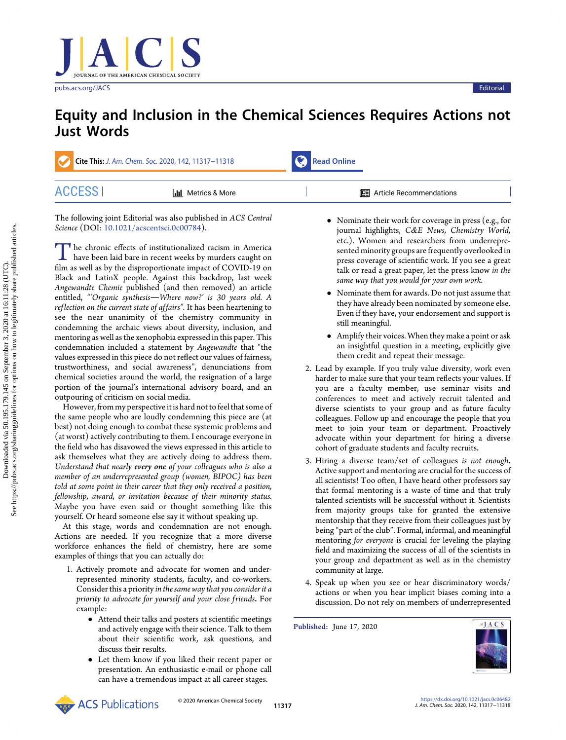[pubs.acs.org/JACS](pubs.acs.org/JACS?ref=pdf) Editorial Editorial and the contract of the contract of the contract of the contract of the contract of the contract of the contract of the contract of the contract of the contract of the contract of the

# Equity and Inclusion in the Chemical Sciences Requires Actions not Just Words

| Cite This: J. Am. Chem. Soc. 2020, 142, 11317-11318 |                           | $\mathcal{F}$ Read Online |                                  |  |
|-----------------------------------------------------|---------------------------|---------------------------|----------------------------------|--|
| <b>ACCESS</b>                                       | <b>III</b> Metrics & More |                           | <b>I</b> Article Recommendations |  |

The following joint Editorial was also published in ACS Central Science (DOI: [10.1021/acscentsci.0c00784](https://dx.doi.org/10.1021/acscentsci.0c00784)).

The chronic effects of institutionalized racism in America<br>have been laid bare in recent weeks by murders caught on<br>film as well as by the disproportionate impact of COVID-19 on film as well as by the disproportionate impact of COVID-19 on Black and LatinX people. Against this backdrop, last week Angewandte Chemie published (and then removed) an article entitled, "'Organic synthesis-Where now?' is 30 years old. A reflection on the current state of affairs". It has been heartening to see the near unanimity of the chemistry community in condemning the archaic views about diversity, inclusion, and mentoring as well as the xenophobia expressed in this paper. This condemnation included a statement by Angewandte that "the values expressed in this piece do not reflect our values of fairness, trustworthiness, and social awareness", denunciations from chemical societies around the world, the resignation of a large portion of the journal's international advisory board, and an outpouring of criticism on social media.

However, from my perspective it is hard not to feel that some of the same people who are loudly condemning this piece are (at best) not doing enough to combat these systemic problems and (at worst) actively contributing to them. I encourage everyone in the field who has disavowed the views expressed in this article to ask themselves what they are actively doing to address them. Understand that nearly every one of your colleagues who is also a member of an underrepresented group (women, BIPOC) has been told at some point in their career that they only received a position, fellowship, award, or invitation because of their minority status. Maybe you have even said or thought something like this yourself. Or heard someone else say it without speaking up.

At this stage, words and condemnation are not enough. Actions are needed. If you recognize that a more diverse workforce enhances the field of chemistry, here are some examples of things that you can actually do:

- 1. Actively promote and advocate for women and underrepresented minority students, faculty, and co-workers. Consider this a priority in the same way that you consider it a priority to advocate for yourself and your close friends. For example:
	- Attend their talks and posters at scientific meetings and actively engage with their science. Talk to them about their scientific work, ask questions, and discuss their results.
	- Let them know if you liked their recent paper or presentation. An enthusiastic e-mail or phone call can have a tremendous impact at all career stages.
- Nominate their work for coverage in press (e.g., for journal highlights, C&E News, Chemistry World, etc.). Women and researchers from underrepresented minority groups are frequently overlooked in press coverage of scientific work. If you see a great talk or read a great paper, let the press know in the same way that you would for your own work.
- Nominate them for awards. Do not just assume that they have already been nominated by someone else. Even if they have, your endorsement and support is still meaningful.
- Amplify their voices. When they make a point or ask an insightful question in a meeting, explicitly give them credit and repeat their message.
- 2. Lead by example. If you truly value diversity, work even harder to make sure that your team reflects your values. If you are a faculty member, use seminar visits and conferences to meet and actively recruit talented and diverse scientists to your group and as future faculty colleagues. Follow up and encourage the people that you meet to join your team or department. Proactively advocate within your department for hiring a diverse cohort of graduate students and faculty recruits.
- 3. Hiring a diverse team/set of colleagues is not enough. Active support and mentoring are crucial for the success of all scientists! Too often, I have heard other professors say that formal mentoring is a waste of time and that truly talented scientists will be successful without it. Scientists from majority groups take for granted the extensive mentorship that they receive from their colleagues just by being "part of the club". Formal, informal, and meaningful mentoring for everyone is crucial for leveling the playing field and maximizing the success of all of the scientists in your group and department as well as in the chemistry community at large.
- 4. Speak up when you see or hear discriminatory words/ actions or when you hear implicit biases coming into a discussion. Do not rely on members of underrepresented

Published: June 17, 2020